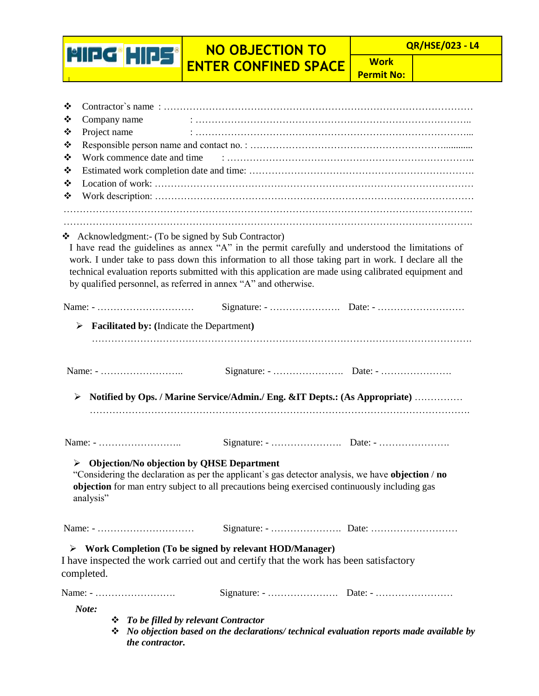## **NO OBJECTION TO ENTER CONFINED SPACE**

HIPG HIPS

**Work Permit No:**

| ❖<br>❖<br>❖<br>❖<br>❖<br>❖<br>❖<br>❖ | Company name<br>Project name | Work commence date and time |                                                                                                                                                                  |                                                                                                                                                                                                                                                                                                                   |
|--------------------------------------|------------------------------|-----------------------------|------------------------------------------------------------------------------------------------------------------------------------------------------------------|-------------------------------------------------------------------------------------------------------------------------------------------------------------------------------------------------------------------------------------------------------------------------------------------------------------------|
|                                      |                              |                             | Acknowledgment:- (To be signed by Sub Contractor)<br>by qualified personnel, as referred in annex "A" and otherwise.                                             | I have read the guidelines as annex "A" in the permit carefully and understood the limitations of<br>work. I under take to pass down this information to all those taking part in work. I declare all the<br>technical evaluation reports submitted with this application are made using calibrated equipment and |
|                                      |                              |                             |                                                                                                                                                                  |                                                                                                                                                                                                                                                                                                                   |
| ➤                                    |                              |                             | <b>Facilitated by:</b> (Indicate the Department)                                                                                                                 |                                                                                                                                                                                                                                                                                                                   |
| ➤                                    |                              |                             |                                                                                                                                                                  | Notified by Ops. / Marine Service/Admin./ Eng. &IT Depts.: (As Appropriate)                                                                                                                                                                                                                                       |
|                                      |                              |                             |                                                                                                                                                                  |                                                                                                                                                                                                                                                                                                                   |
| ➤                                    | analysis"                    |                             | <b>Objection/No objection by QHSE Department</b><br>objection for man entry subject to all precautions being exercised continuously including gas                | "Considering the declaration as per the applicant's gas detector analysis, we have objection / no                                                                                                                                                                                                                 |
|                                      |                              | Name: -                     |                                                                                                                                                                  |                                                                                                                                                                                                                                                                                                                   |
| completed.                           |                              |                             | $\triangleright$ Work Completion (To be signed by relevant HOD/Manager)<br>I have inspected the work carried out and certify that the work has been satisfactory |                                                                                                                                                                                                                                                                                                                   |
|                                      |                              |                             |                                                                                                                                                                  |                                                                                                                                                                                                                                                                                                                   |
| Note:                                |                              | the contractor.             | $\div$ To be filled by relevant Contractor                                                                                                                       | $\mathbf{\hat{P}}$ No objection based on the declarations/ technical evaluation reports made available by                                                                                                                                                                                                         |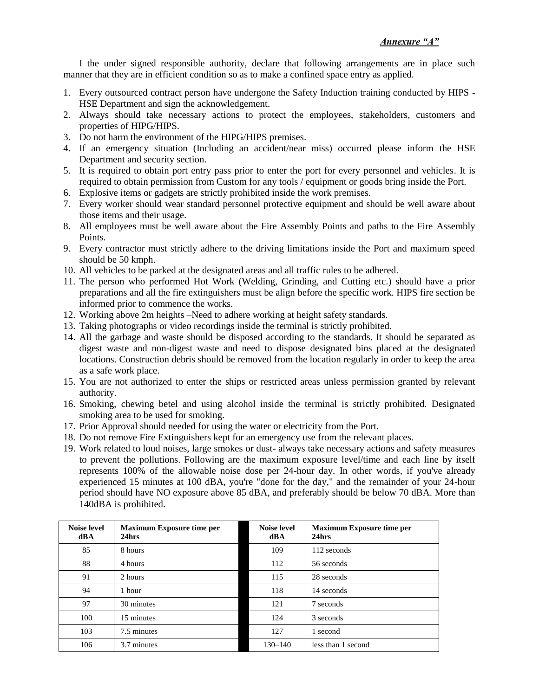I the under signed responsible authority, declare that following arrangements are in place such manner that they are in efficient condition so as to make a confined space entry as applied.

- 1. Every outsourced contract person have undergone the Safety Induction training conducted by HIPS HSE Department and sign the acknowledgement.
- 2. Always should take necessary actions to protect the employees, stakeholders, customers and properties of HIPG/HIPS.
- 3. Do not harm the environment of the HIPG/HIPS premises.
- 4. If an emergency situation (Including an accident/near miss) occurred please inform the HSE Department and security section.
- 5. It is required to obtain port entry pass prior to enter the port for every personnel and vehicles. It is required to obtain permission from Custom for any tools / equipment or goods bring inside the Port.
- 6. Explosive items or gadgets are strictly prohibited inside the work premises.
- 7. Every worker should wear standard personnel protective equipment and should be well aware about those items and their usage.
- 8. All employees must be well aware about the Fire Assembly Points and paths to the Fire Assembly Points.
- 9. Every contractor must strictly adhere to the driving limitations inside the Port and maximum speed should be 50 kmph.
- 10. All vehicles to be parked at the designated areas and all traffic rules to be adhered.
- 11. The person who performed Hot Work (Welding, Grinding, and Cutting etc.) should have a prior preparations and all the fire extinguishers must be align before the specific work. HIPS fire section be informed prior to commence the works.
- 12. Working above 2m heights –Need to adhere working at height safety standards.
- 13. Taking photographs or video recordings inside the terminal is strictly prohibited.
- 14. All the garbage and waste should be disposed according to the standards. It should be separated as digest waste and non-digest waste and need to dispose designated bins placed at the designated locations. Construction debris should be removed from the location regularly in order to keep the area as a safe work place.
- 15. You are not authorized to enter the ships or restricted areas unless permission granted by relevant authority.
- 16. Smoking, chewing betel and using alcohol inside the terminal is strictly prohibited. Designated smoking area to be used for smoking.
- 17. Prior Approval should needed for using the water or electricity from the Port.
- 18. Do not remove Fire Extinguishers kept for an emergency use from the relevant places.
- 19. Work related to loud noises, large smokes or dust- always take necessary actions and safety measures to prevent the pollutions. Following are the maximum exposure level/time and each line by itself represents 100% of the allowable noise dose per 24-hour day. In other words, if you've already experienced 15 minutes at 100 dBA, you're "done for the day," and the remainder of your 24-hour period should have NO exposure above 85 dBA, and preferably should be below 70 dBA. More than 140dBA is prohibited.

| <b>Noise level</b><br>dBA | <b>Maximum Exposure time per</b><br>24hrs | <b>Noise level</b><br>dBA | <b>Maximum Exposure time per</b><br>24hrs |
|---------------------------|-------------------------------------------|---------------------------|-------------------------------------------|
| 85                        | 8 hours                                   | 109                       | 112 seconds                               |
| 88                        | 4 hours                                   | 112                       | 56 seconds                                |
| 91                        | 2 hours                                   | 115                       | 28 seconds                                |
| 94                        | 1 hour                                    | 118                       | 14 seconds                                |
| 97                        | 30 minutes                                | 121                       | 7 seconds                                 |
| 100                       | 15 minutes                                | 124                       | 3 seconds                                 |
| 103                       | 7.5 minutes                               | 127                       | 1 second                                  |
| 106                       | 3.7 minutes                               | $130 - 140$               | less than 1 second                        |